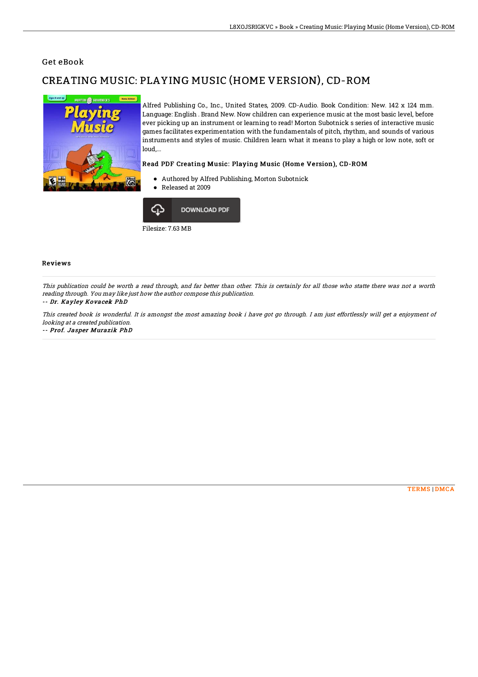### Get eBook

# CREATING MUSIC: PLAYING MUSIC (HOME VERSION), CD-ROM



Alfred Publishing Co., Inc., United States, 2009. CD-Audio. Book Condition: New. 142 x 124 mm. Language: English . Brand New. Now children can experience music at the most basic level, before ever picking up an instrument or learning to read! Morton Subotnick s series of interactive music games facilitates experimentation with the fundamentals of pitch, rhythm, and sounds of various instruments and styles of music. Children learn what it means to play a high or low note, soft or loud,...

#### Read PDF Creating Music: Playing Music (Home Version), CD-ROM

- Authored by Alfred Publishing, Morton Subotnick
- Released at 2009



Reviews

This publication could be worth <sup>a</sup> read through, and far better than other. This is certainly for all those who statte there was not <sup>a</sup> worth reading through. You may like just how the author compose this publication.

#### -- Dr. Kayley Kovacek PhD

This created book is wonderful. It is amongst the most amazing book i have got go through. I am just effortlessly will get <sup>a</sup> enjoyment of looking at <sup>a</sup> created publication.

-- Prof. Jasper Murazik PhD